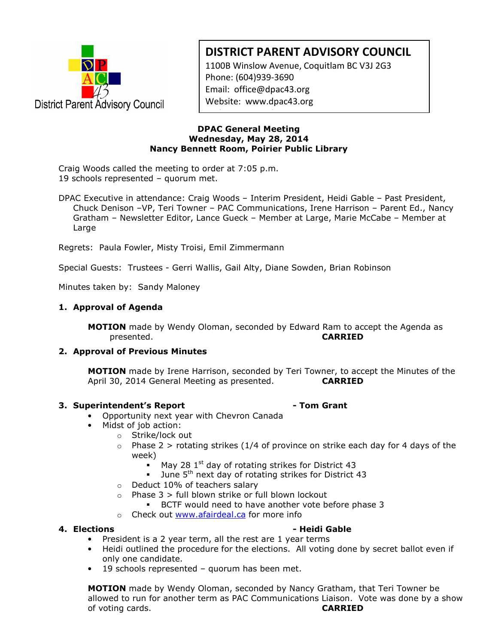

# DISTRICT PARENT ADVISORY COUNCIL

1100B Winslow Avenue, Coquitlam BC V3J 2G3 Phone: (604)939-3690 Email: office@dpac43.org Website: www.dpac43.org

### DPAC General Meeting Wednesday, May 28, 2014 Nancy Bennett Room, Poirier Public Library

www.dpackatholical.com

Craig Woods called the meeting to order at 7:05 p.m. 19 schools represented – quorum met.

DPAC Executive in attendance: Craig Woods – Interim President, Heidi Gable – Past President, Chuck Denison –VP, Teri Towner – PAC Communications, Irene Harrison – Parent Ed., Nancy Gratham – Newsletter Editor, Lance Gueck – Member at Large, Marie McCabe – Member at Large

Regrets: Paula Fowler, Misty Troisi, Emil Zimmermann

Special Guests: Trustees - Gerri Wallis, Gail Alty, Diane Sowden, Brian Robinson

Minutes taken by: Sandy Maloney

# 1. Approval of Agenda

MOTION made by Wendy Oloman, seconded by Edward Ram to accept the Agenda as presented. CARRIED

# 2. Approval of Previous Minutes

**MOTION** made by Irene Harrison, seconded by Teri Towner, to accept the Minutes of the April 30, 2014 General Meeting as presented. CARRIED

# 3. Superintendent's Report **Access 12. In the State Contract Contract Contract Contract Contract Contract Contract Contract Contract Contract Contract Contract Contract Contract Contract Contract Contract Contract Contract**

- Opportunity next year with Chevron Canada
- Midst of job action:
	- o Strike/lock out
	- $\circ$  Phase 2 > rotating strikes (1/4 of province on strike each day for 4 days of the week)
		- May 28  $1<sup>st</sup>$  day of rotating strikes for District 43
		- June 5<sup>th</sup> next day of rotating strikes for District 43
	- o Deduct 10% of teachers salary
	- $\circ$  Phase 3 > full blown strike or full blown lockout
		- BCTF would need to have another vote before phase 3
	- o Check out www.afairdeal.ca for more info

### 4. Elections **Accord Entity Contract Contract Accord Function** Accord - Heidi Gable

- President is a 2 year term, all the rest are 1 year terms
- Heidi outlined the procedure for the elections. All voting done by secret ballot even if only one candidate.
- 19 schools represented quorum has been met.

**MOTION** made by Wendy Oloman, seconded by Nancy Gratham, that Teri Towner be allowed to run for another term as PAC Communications Liaison. Vote was done by a show of voting cards. **CARRIED**